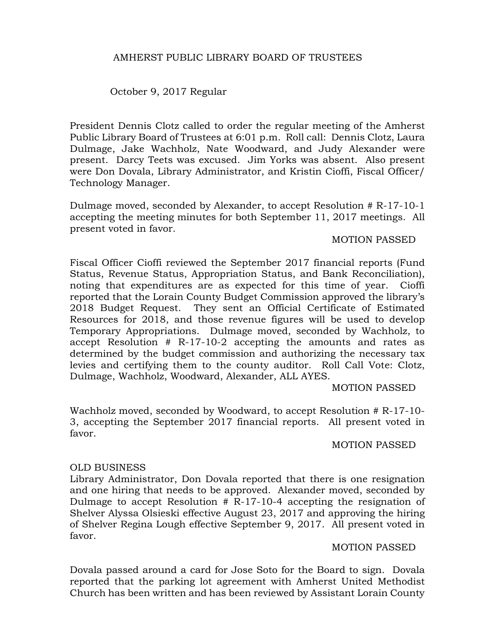October 9, 2017 Regular

President Dennis Clotz called to order the regular meeting of the Amherst Public Library Board of Trustees at 6:01 p.m. Roll call: Dennis Clotz, Laura Dulmage, Jake Wachholz, Nate Woodward, and Judy Alexander were present. Darcy Teets was excused. Jim Yorks was absent. Also present were Don Dovala, Library Administrator, and Kristin Cioffi, Fiscal Officer/ Technology Manager.

Dulmage moved, seconded by Alexander, to accept Resolution # R-17-10-1 accepting the meeting minutes for both September 11, 2017 meetings. All present voted in favor.

# MOTION PASSED

Fiscal Officer Cioffi reviewed the September 2017 financial reports (Fund Status, Revenue Status, Appropriation Status, and Bank Reconciliation), noting that expenditures are as expected for this time of year. Cioffi reported that the Lorain County Budget Commission approved the library's 2018 Budget Request. They sent an Official Certificate of Estimated Resources for 2018, and those revenue figures will be used to develop Temporary Appropriations. Dulmage moved, seconded by Wachholz, to accept Resolution # R-17-10-2 accepting the amounts and rates as determined by the budget commission and authorizing the necessary tax levies and certifying them to the county auditor. Roll Call Vote: Clotz, Dulmage, Wachholz, Woodward, Alexander, ALL AYES.

# MOTION PASSED

Wachholz moved, seconded by Woodward, to accept Resolution # R-17-10- 3, accepting the September 2017 financial reports. All present voted in favor.

# MOTION PASSED

# OLD BUSINESS

Library Administrator, Don Dovala reported that there is one resignation and one hiring that needs to be approved. Alexander moved, seconded by Dulmage to accept Resolution # R-17-10-4 accepting the resignation of Shelver Alyssa Olsieski effective August 23, 2017 and approving the hiring of Shelver Regina Lough effective September 9, 2017. All present voted in favor.

# MOTION PASSED

Dovala passed around a card for Jose Soto for the Board to sign. Dovala reported that the parking lot agreement with Amherst United Methodist Church has been written and has been reviewed by Assistant Lorain County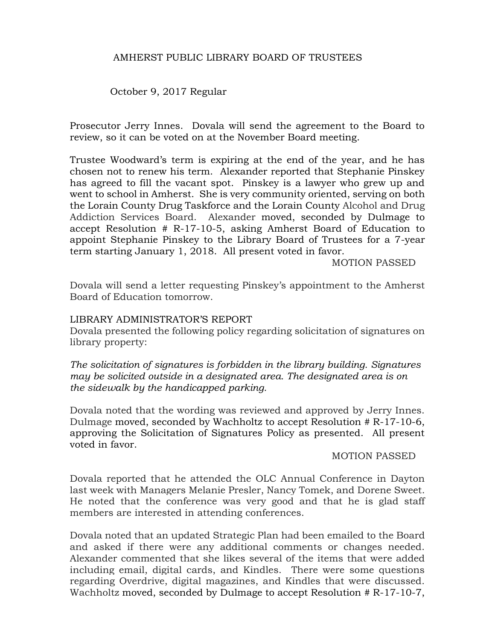October 9, 2017 Regular

Prosecutor Jerry Innes. Dovala will send the agreement to the Board to review, so it can be voted on at the November Board meeting.

Trustee Woodward's term is expiring at the end of the year, and he has chosen not to renew his term. Alexander reported that Stephanie Pinskey has agreed to fill the vacant spot. Pinskey is a lawyer who grew up and went to school in Amherst. She is very community oriented, serving on both the Lorain County Drug Taskforce and the Lorain County Alcohol and Drug Addiction Services Board. Alexander moved, seconded by Dulmage to accept Resolution # R-17-10-5, asking Amherst Board of Education to appoint Stephanie Pinskey to the Library Board of Trustees for a 7-year term starting January 1, 2018. All present voted in favor.

MOTION PASSED

Dovala will send a letter requesting Pinskey's appointment to the Amherst Board of Education tomorrow.

### LIBRARY ADMINISTRATOR'S REPORT

Dovala presented the following policy regarding solicitation of signatures on library property:

*The solicitation of signatures is forbidden in the library building. Signatures may be solicited outside in a designated area. The designated area is on the sidewalk by the handicapped parking.* 

Dovala noted that the wording was reviewed and approved by Jerry Innes. Dulmage moved, seconded by Wachholtz to accept Resolution # R-17-10-6, approving the Solicitation of Signatures Policy as presented. All present voted in favor.

#### MOTION PASSED

Dovala reported that he attended the OLC Annual Conference in Dayton last week with Managers Melanie Presler, Nancy Tomek, and Dorene Sweet. He noted that the conference was very good and that he is glad staff members are interested in attending conferences.

Dovala noted that an updated Strategic Plan had been emailed to the Board and asked if there were any additional comments or changes needed. Alexander commented that she likes several of the items that were added including email, digital cards, and Kindles. There were some questions regarding Overdrive, digital magazines, and Kindles that were discussed. Wachholtz moved, seconded by Dulmage to accept Resolution # R-17-10-7,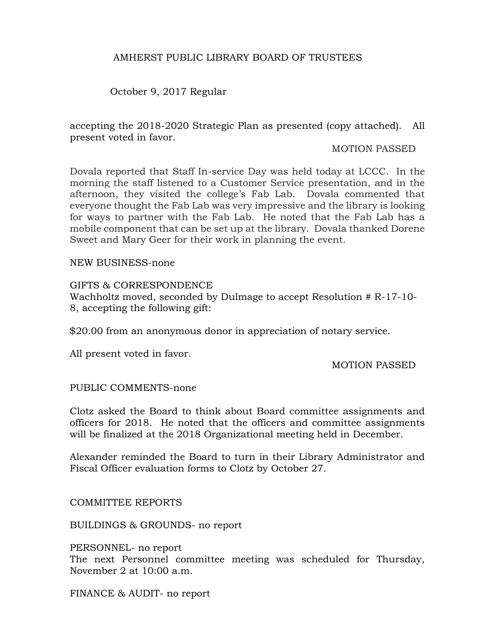October 9, 2017 Regular

accepting the 2018-2020 Strategic Plan as presented (copy attached). All present voted in favor.

MOTION PASSED

Dovala reported that Staff In-service Day was held today at LCCC. In the morning the staff listened to a Customer Service presentation, and in the afternoon, they visited the college's Fab Lab. Dovala commented that everyone thought the Fab Lab was very impressive and the library is looking for ways to partner with the Fab Lab. He noted that the Fab Lab has a mobile component that can be set up at the library. Dovala thanked Dorene Sweet and Mary Geer for their work in planning the event.

NEW BUSINESS-none

#### GIFTS & CORRESPONDENCE

Wachholtz moved, seconded by Dulmage to accept Resolution # R-17-10- 8, accepting the following gift:

\$20.00 from an anonymous donor in appreciation of notary service.

All present voted in favor.

MOTION PASSED

# PUBLIC COMMENTS-none

Clotz asked the Board to think about Board committee assignments and officers for 2018. He noted that the officers and committee assignments will be finalized at the 2018 Organizational meeting held in December.

Alexander reminded the Board to turn in their Library Administrator and Fiscal Officer evaluation forms to Clotz by October 27.

COMMITTEE REPORTS

BUILDINGS & GROUNDS- no report

PERSONNEL- no report

The next Personnel committee meeting was scheduled for Thursday, November 2 at 10:00 a.m.

FINANCE & AUDIT- no report